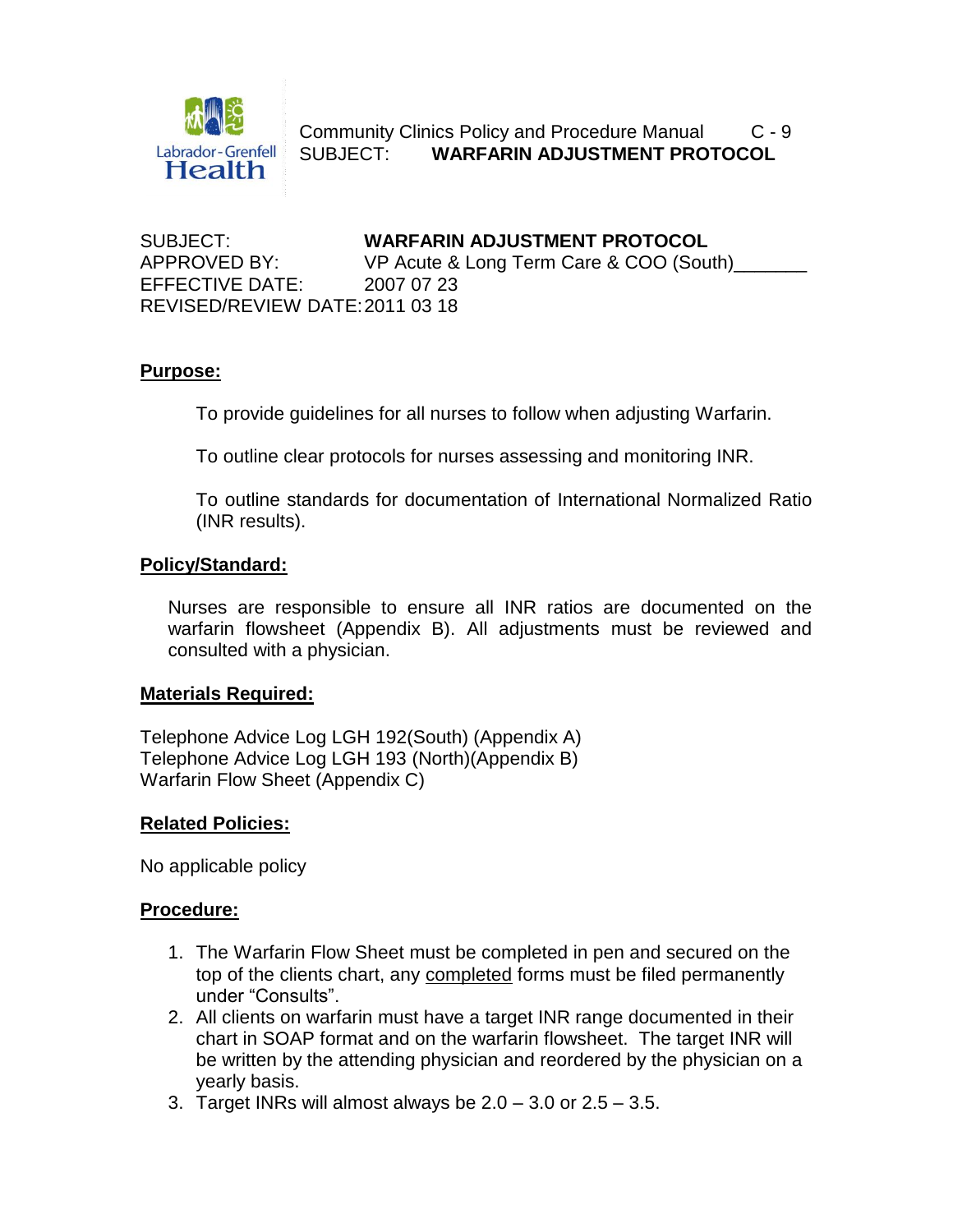

Community Clinics Policy and Procedure Manual C - 9 SUBJECT: **WARFARIN ADJUSTMENT PROTOCOL**

SUBJECT: **WARFARIN ADJUSTMENT PROTOCOL** APPROVED BY: VP Acute & Long Term Care & COO (South) \_\_\_\_\_\_ EFFECTIVE DATE: 2007 07 23 REVISED/REVIEW DATE:2011 03 18

### **Purpose:**

To provide guidelines for all nurses to follow when adjusting Warfarin.

To outline clear protocols for nurses assessing and monitoring INR.

To outline standards for documentation of International Normalized Ratio (INR results).

#### **Policy/Standard:**

Nurses are responsible to ensure all INR ratios are documented on the warfarin flowsheet (Appendix B). All adjustments must be reviewed and consulted with a physician.

#### **Materials Required:**

Telephone Advice Log LGH 192(South) (Appendix A) Telephone Advice Log LGH 193 (North)(Appendix B) Warfarin Flow Sheet (Appendix C)

#### **Related Policies:**

No applicable policy

### **Procedure:**

- 1. The Warfarin Flow Sheet must be completed in pen and secured on the top of the clients chart, any completed forms must be filed permanently under "Consults".
- 2. All clients on warfarin must have a target INR range documented in their chart in SOAP format and on the warfarin flowsheet. The target INR will be written by the attending physician and reordered by the physician on a yearly basis.
- 3. Target INRs will almost always be  $2.0 3.0$  or  $2.5 3.5$ .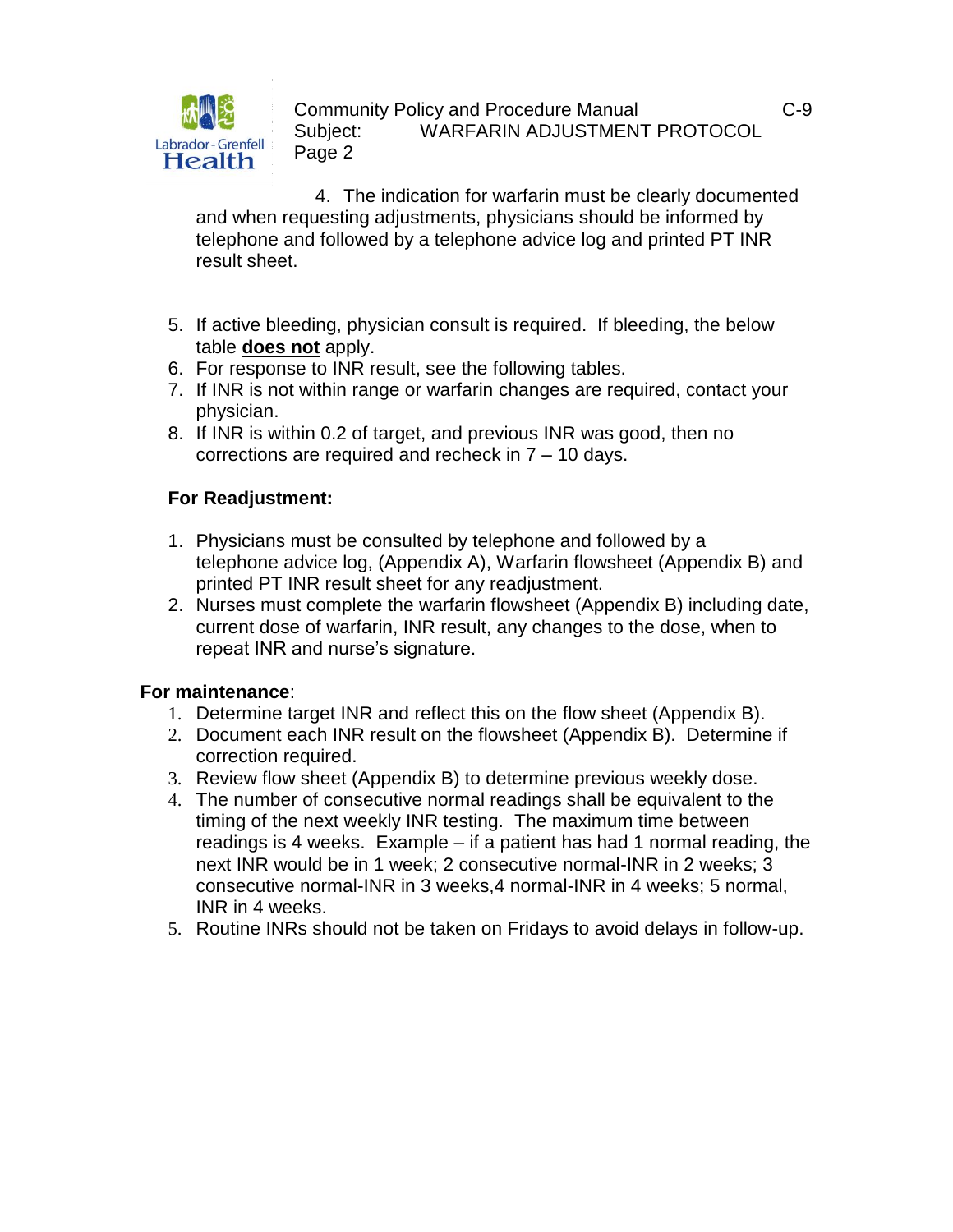

4. The indication for warfarin must be clearly documented and when requesting adjustments, physicians should be informed by telephone and followed by a telephone advice log and printed PT INR result sheet.

- 5. If active bleeding, physician consult is required. If bleeding, the below table **does not** apply.
- 6. For response to INR result, see the following tables.
- 7. If INR is not within range or warfarin changes are required, contact your physician.
- 8. If INR is within 0.2 of target, and previous INR was good, then no corrections are required and recheck in 7 – 10 days.

### **For Readjustment:**

- 1. Physicians must be consulted by telephone and followed by a telephone advice log, (Appendix A), Warfarin flowsheet (Appendix B) and printed PT INR result sheet for any readjustment.
- 2. Nurses must complete the warfarin flowsheet (Appendix B) including date, current dose of warfarin, INR result, any changes to the dose, when to repeat INR and nurse's signature.

### **For maintenance**:

- 1. Determine target INR and reflect this on the flow sheet (Appendix B).
- 2. Document each INR result on the flowsheet (Appendix B). Determine if correction required.
- 3. Review flow sheet (Appendix B) to determine previous weekly dose.
- 4. The number of consecutive normal readings shall be equivalent to the timing of the next weekly INR testing. The maximum time between readings is 4 weeks. Example – if a patient has had 1 normal reading, the next INR would be in 1 week; 2 consecutive normal-INR in 2 weeks; 3 consecutive normal-INR in 3 weeks,4 normal-INR in 4 weeks; 5 normal, INR in 4 weeks.
- 5. Routine INRs should not be taken on Fridays to avoid delays in follow-up.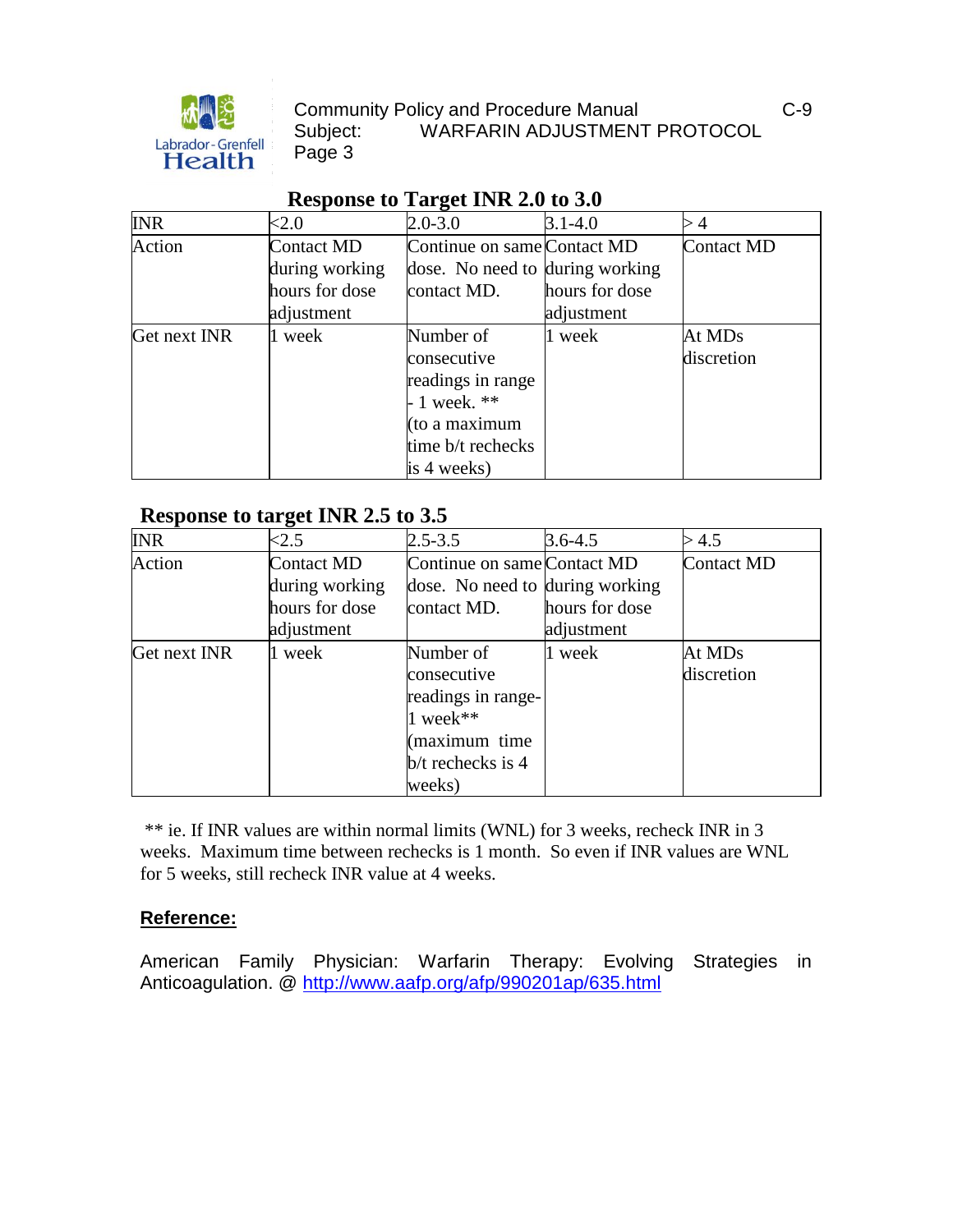

# **Response to Target INR 2.0 to 3.0**

| <b>INR</b>   | < 2.0             | $2.0 - 3.0$                     | $3.1 - 4.0$    | 4                 |
|--------------|-------------------|---------------------------------|----------------|-------------------|
| Action       | <b>Contact MD</b> | Continue on same Contact MD     |                | <b>Contact MD</b> |
|              | during working    | dose. No need to during working |                |                   |
|              | hours for dose    | contact MD.                     | hours for dose |                   |
|              | adjustment        |                                 | adjustment     |                   |
| Get next INR | week              | Number of                       | week           | At MDs            |
|              |                   | consecutive                     |                | discretion        |
|              |                   | readings in range               |                |                   |
|              |                   | 1 week. $**$                    |                |                   |
|              |                   | (to a maximum                   |                |                   |
|              |                   | time b/t rechecks               |                |                   |
|              |                   | is 4 weeks)                     |                |                   |

## **Response to target INR 2.5 to 3.5**

| <b>INR</b>   | <2.5              | $2.5 - 3.5$                     | $3.6 - 4.5$    | > 4.5      |
|--------------|-------------------|---------------------------------|----------------|------------|
| Action       | <b>Contact MD</b> | Continue on same Contact MD     |                | Contact MD |
|              | during working    | dose. No need to during working |                |            |
|              | hours for dose    | contact MD.                     | hours for dose |            |
|              | adjustment        |                                 | adjustment     |            |
| Get next INR | week              | Number of                       | 1 week         | At MDs     |
|              |                   | consecutive                     |                | discretion |
|              |                   | readings in range-              |                |            |
|              |                   | 1 week**                        |                |            |
|              |                   | (maximum time                   |                |            |
|              |                   | $b/t$ rechecks is 4             |                |            |
|              |                   | weeks)                          |                |            |

\*\* ie. If INR values are within normal limits (WNL) for 3 weeks, recheck INR in 3 weeks. Maximum time between rechecks is 1 month. So even if INR values are WNL for 5 weeks, still recheck INR value at 4 weeks.

### **Reference:**

American Family Physician: Warfarin Therapy: Evolving Strategies in Anticoagulation. @ http://www.aafp.org/afp/990201ap/635.html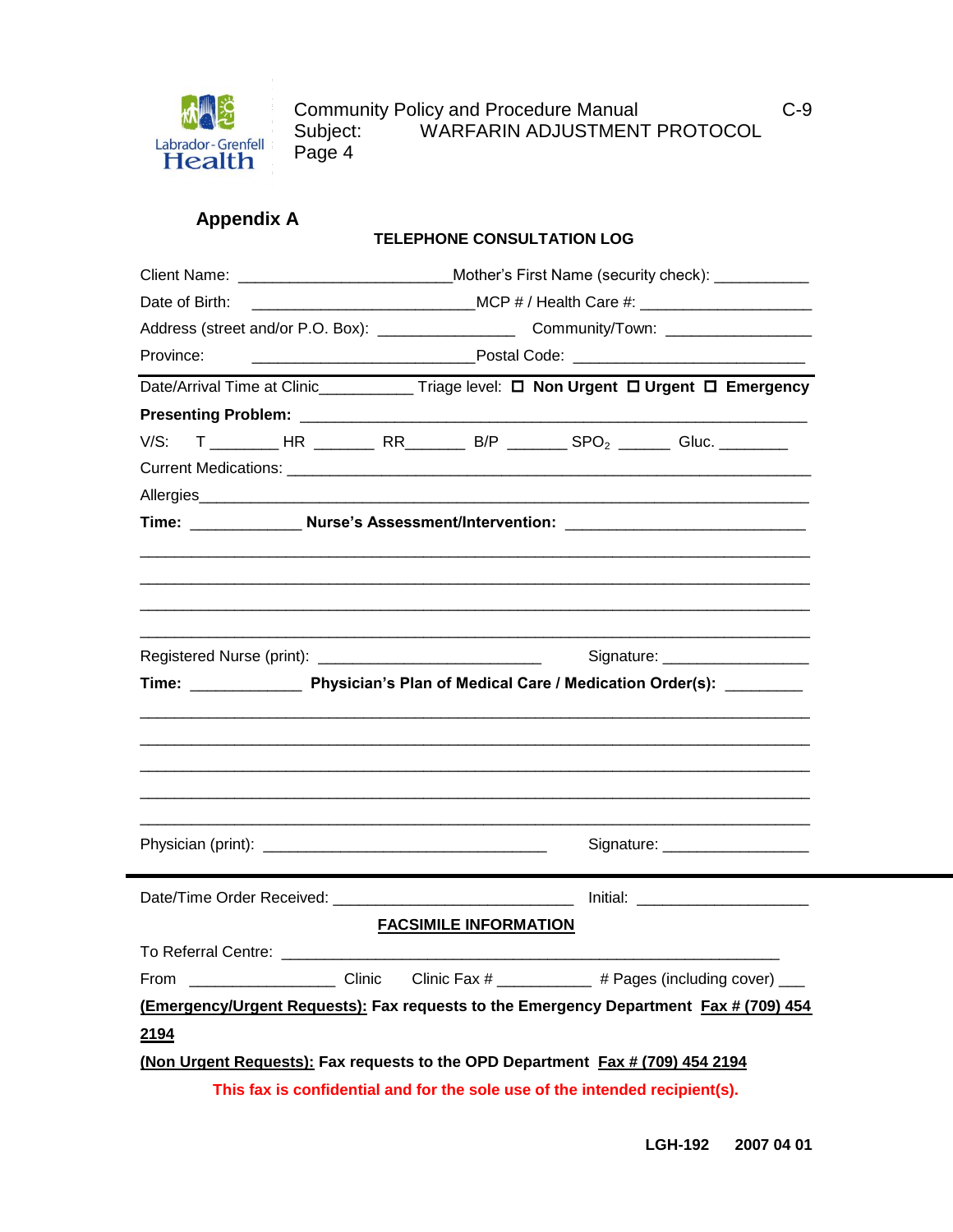

## **Appendix A**

**TELEPHONE CONSULTATION LOG**

| Date of Birth:                                                                                   |                                                                             |                                    |  |  |  |  |  |
|--------------------------------------------------------------------------------------------------|-----------------------------------------------------------------------------|------------------------------------|--|--|--|--|--|
|                                                                                                  |                                                                             |                                    |  |  |  |  |  |
| Province:                                                                                        |                                                                             |                                    |  |  |  |  |  |
| Date/Arrival Time at Clinic______________Triage level: D Non Urgent D Urgent D Emergency         |                                                                             |                                    |  |  |  |  |  |
|                                                                                                  |                                                                             |                                    |  |  |  |  |  |
| T _________ HR ________ RR________ B/P ________ SPO <sub>2</sub> _______ Gluc. _________<br>V/S: |                                                                             |                                    |  |  |  |  |  |
|                                                                                                  |                                                                             |                                    |  |  |  |  |  |
|                                                                                                  |                                                                             |                                    |  |  |  |  |  |
| Time: _______________ Nurse's Assessment/Intervention: _________________________                 |                                                                             |                                    |  |  |  |  |  |
|                                                                                                  |                                                                             |                                    |  |  |  |  |  |
|                                                                                                  |                                                                             |                                    |  |  |  |  |  |
|                                                                                                  |                                                                             |                                    |  |  |  |  |  |
|                                                                                                  |                                                                             |                                    |  |  |  |  |  |
|                                                                                                  |                                                                             | Signature: ____________________    |  |  |  |  |  |
|                                                                                                  |                                                                             |                                    |  |  |  |  |  |
|                                                                                                  |                                                                             |                                    |  |  |  |  |  |
|                                                                                                  |                                                                             |                                    |  |  |  |  |  |
|                                                                                                  |                                                                             |                                    |  |  |  |  |  |
|                                                                                                  |                                                                             |                                    |  |  |  |  |  |
|                                                                                                  |                                                                             |                                    |  |  |  |  |  |
|                                                                                                  |                                                                             | Signature: ____________________    |  |  |  |  |  |
|                                                                                                  |                                                                             | Initial: _________________________ |  |  |  |  |  |
|                                                                                                  | <b>FACSIMILE INFORMATION</b>                                                |                                    |  |  |  |  |  |
| To Referral Centre: ________                                                                     |                                                                             |                                    |  |  |  |  |  |
| Clinic<br>From                                                                                   | Clinic Fax # ___________ # Pages (including cover) ___                      |                                    |  |  |  |  |  |
| (Emergency/Urgent Requests): Fax requests to the Emergency Department Fax # (709) 454            |                                                                             |                                    |  |  |  |  |  |
| 2194                                                                                             |                                                                             |                                    |  |  |  |  |  |
| (Non Urgent Requests): Fax requests to the OPD Department Fax # (709) 454 2194                   |                                                                             |                                    |  |  |  |  |  |
|                                                                                                  | This fax is confidential and for the sole use of the intended recipient(s). |                                    |  |  |  |  |  |
|                                                                                                  |                                                                             |                                    |  |  |  |  |  |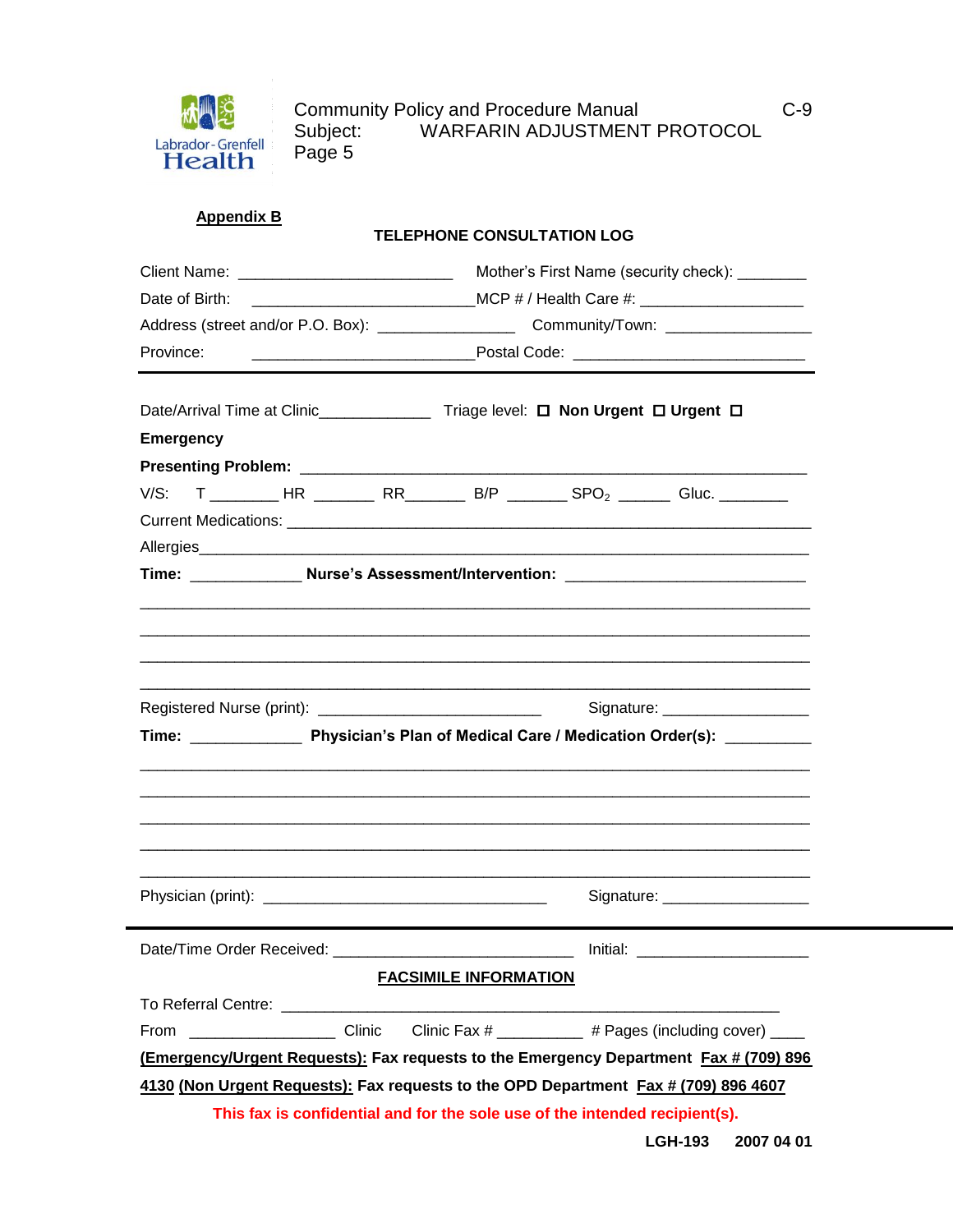| Labrador - Grenfell<br>Health |  |
|-------------------------------|--|

| <b>Appendix B</b>                                             | <b>TELEPHONE CONSULTATION LOG</b>                                                                                                                                       |  |  |  |  |
|---------------------------------------------------------------|-------------------------------------------------------------------------------------------------------------------------------------------------------------------------|--|--|--|--|
|                                                               | Mother's First Name (security check): _________                                                                                                                         |  |  |  |  |
| Date of Birth:                                                | MCP # / Health Care #: ________________________<br><u> 1980 - John Stein, mars and de Britain and de Britain and de Britain and de Britain and de Britain and de Br</u> |  |  |  |  |
|                                                               |                                                                                                                                                                         |  |  |  |  |
| Province:                                                     |                                                                                                                                                                         |  |  |  |  |
|                                                               | Date/Arrival Time at Clinic____________________Triage level: □ Non Urgent □ Urgent □                                                                                    |  |  |  |  |
| <b>Emergency</b>                                              |                                                                                                                                                                         |  |  |  |  |
|                                                               |                                                                                                                                                                         |  |  |  |  |
|                                                               |                                                                                                                                                                         |  |  |  |  |
|                                                               |                                                                                                                                                                         |  |  |  |  |
|                                                               |                                                                                                                                                                         |  |  |  |  |
|                                                               | Time: ______________Nurse's Assessment/Intervention: ___________________________                                                                                        |  |  |  |  |
| Registered Nurse (print): ___________________________________ | Signature: ____________________                                                                                                                                         |  |  |  |  |
|                                                               |                                                                                                                                                                         |  |  |  |  |
| Physician (print):                                            | Signature:                                                                                                                                                              |  |  |  |  |
| Date/Time Order Received: ___________________________________ |                                                                                                                                                                         |  |  |  |  |
|                                                               | <b>FACSIMILE INFORMATION</b>                                                                                                                                            |  |  |  |  |
|                                                               |                                                                                                                                                                         |  |  |  |  |
| From                                                          | ___________________________Clinic Clinic Fax # ______________ # Pages (including cover) _____                                                                           |  |  |  |  |
|                                                               | <b>(Emergency/Urgent Requests): Fax requests to the Emergency Department Fax # (709) 896</b>                                                                            |  |  |  |  |
|                                                               | 4130 (Non Urgent Requests): Fax requests to the OPD Department Fax # (709) 896 4607                                                                                     |  |  |  |  |
|                                                               | This fax is confidential and for the sole use of the intended recipient(s).                                                                                             |  |  |  |  |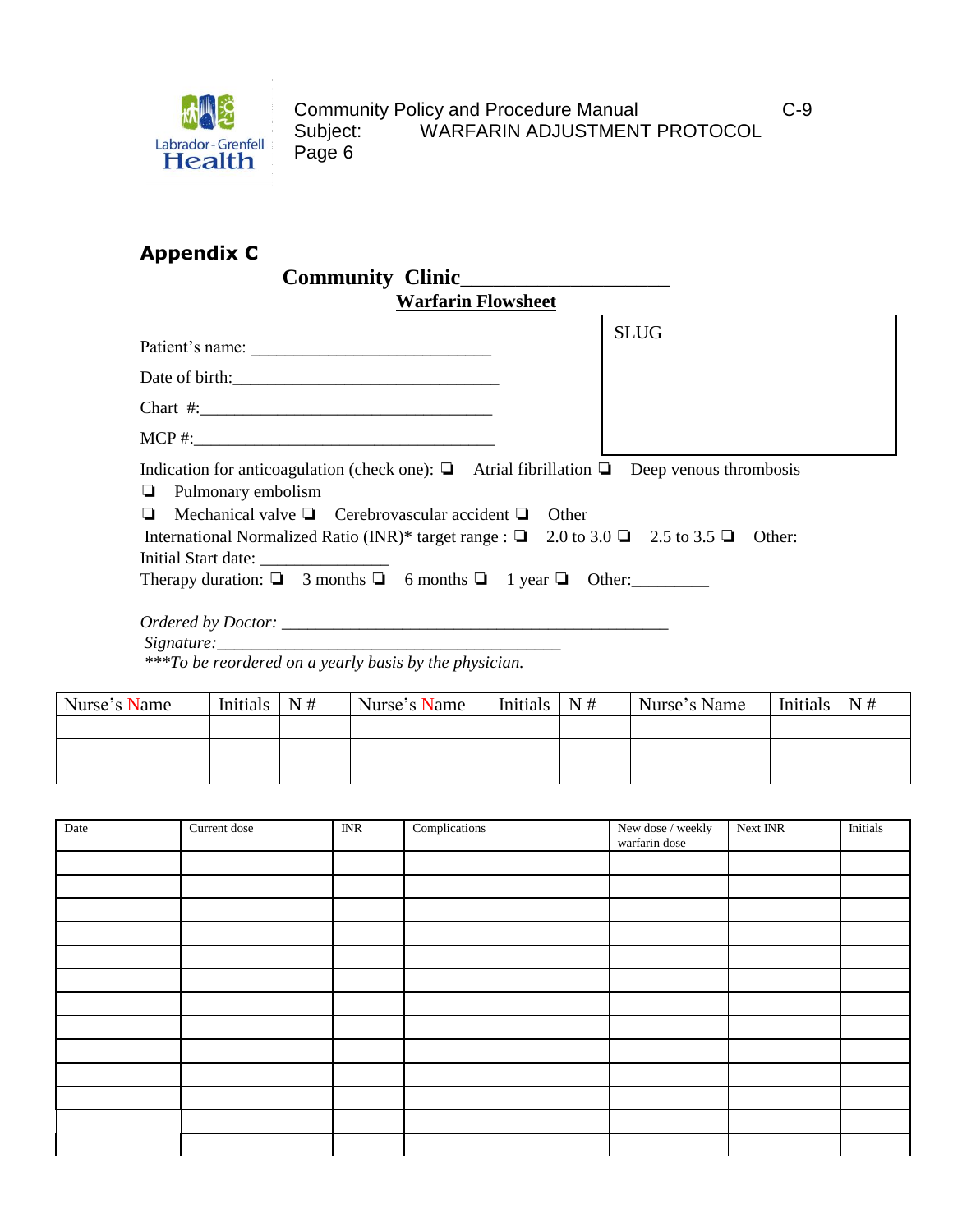

# **Appendix C**

# **Community Clinic\_\_\_\_\_\_\_\_\_\_\_\_\_\_\_\_\_\_\_**

**Warfarin Flowsheet**

| Patient's name:                                                                                                                                                                                                                                                                                                                                                                                      | <b>SLUG</b> |
|------------------------------------------------------------------------------------------------------------------------------------------------------------------------------------------------------------------------------------------------------------------------------------------------------------------------------------------------------------------------------------------------------|-------------|
|                                                                                                                                                                                                                                                                                                                                                                                                      |             |
|                                                                                                                                                                                                                                                                                                                                                                                                      |             |
|                                                                                                                                                                                                                                                                                                                                                                                                      |             |
| Indication for anticoagulation (check one): $\Box$ Atrial fibrillation $\Box$ Deep venous thrombosis<br>$\Box$ Pulmonary embolism<br>$\Box$ Mechanical valve $\Box$ Cerebrovascular accident $\Box$ Other<br>International Normalized Ratio (INR)* target range : $\Box$ 2.0 to 3.0 $\Box$ 2.5 to 3.5 $\Box$ Other:<br>Therapy duration: $\Box$ 3 months $\Box$ 6 months $\Box$ 1 year $\Box$ Other: |             |
|                                                                                                                                                                                                                                                                                                                                                                                                      |             |

*Signature:\_\_\_\_\_\_\_\_\_\_\_\_\_\_\_\_\_\_\_\_\_\_\_\_\_\_\_\_\_\_\_\_\_\_\_\_\_\_\_\_*

*\*\*\*To be reordered on a yearly basis by the physician.*

| Nurse's Name | Initials $\vert N \#$ | Nurse's Name | Initials $\vert$ N # | Nurse's Name | Initials | $\overline{\phantom{1}}$ N # |
|--------------|-----------------------|--------------|----------------------|--------------|----------|------------------------------|
|              |                       |              |                      |              |          |                              |
|              |                       |              |                      |              |          |                              |
|              |                       |              |                      |              |          |                              |

| Date | Current dose | INR | Complications | New dose $\prime$ weekly<br>warfarin dose | Next INR | Initials |
|------|--------------|-----|---------------|-------------------------------------------|----------|----------|
|      |              |     |               |                                           |          |          |
|      |              |     |               |                                           |          |          |
|      |              |     |               |                                           |          |          |
|      |              |     |               |                                           |          |          |
|      |              |     |               |                                           |          |          |
|      |              |     |               |                                           |          |          |
|      |              |     |               |                                           |          |          |
|      |              |     |               |                                           |          |          |
|      |              |     |               |                                           |          |          |
|      |              |     |               |                                           |          |          |
|      |              |     |               |                                           |          |          |
|      |              |     |               |                                           |          |          |
|      |              |     |               |                                           |          |          |